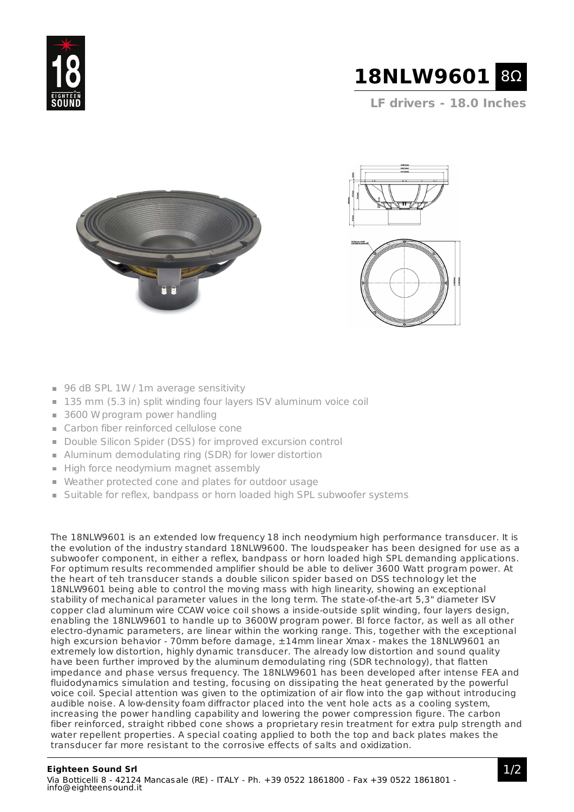



**LF drivers - 18.0 Inches**







- 96 dB SPL 1W / 1m average sensitivity
- 135 mm (5.3 in) split winding four layers ISV aluminum voice coil
- 3600 W program power handling
- Carbon fiber reinforced cellulose cone
- Double Silicon Spider (DSS) for improved excursion control
- Aluminum demodulating ring (SDR) for lower distortion
- High force neodymium magnet assembly
- Weather protected cone and plates for outdoor usage
- **Suitable for reflex, bandpass or horn loaded high SPL subwoofer systems**

The 18NLW9601 is an extended low frequency 18 inch neodymium high performance transducer. It is the evolution of the industry standard 18NLW9600. The loudspeaker has been designed for use as a subwoofer component, in either a reflex, bandpass or horn loaded high SPL demanding applications. For optimum results recommended amplifier should be able to deliver 3600 Watt program power. At the heart of teh transducer stands a double silicon spider based on DSS technology let the 18NLW9601 being able to control the moving mass with high linearity, showing an exceptional stability of mechanical parameter values in the long term. The state-of-the-art 5,3" diameter ISV copper clad aluminum wire CCAW voice coil shows a inside-outside split winding, four layers design, enabling the 18NLW9601 to handle up to 3600W program power. Bl force factor, as well as all other electro-dynamic parameters, are linear within the working range. This, together with the exceptional high excursion behavior - 70mm before damage, ±14mm linear Xmax - makes the 18NLW9601 an extremely low distortion, highly dynamic transducer. The already low distortion and sound quality have been further improved by the aluminum demodulating ring (SDR technology), that flatten impedance and phase versus frequency. The 18NLW9601 has been developed after intense FEA and fluidodynamics simulation and testing, focusing on dissipating the heat generated by the powerful voice coil. Special attention was given to the optimization of air flow into the gap without introducing audible noise. A low-density foam diffractor placed into the vent hole acts as a cooling system, increasing the power handling capability and lowering the power compression figure. The carbon fiber reinforced, straight ribbed cone shows a proprietary resin treatment for extra pulp strength and water repellent properties. A special coating applied to both the top and back plates makes the transducer far more resistant to the corrosive effects of salts and oxidization.